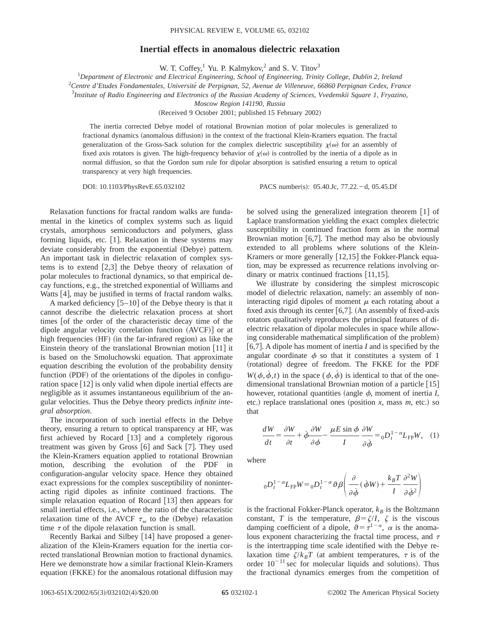## PHYSICAL REVIEW E, VOLUME 65, 032102

## **Inertial effects in anomalous dielectric relaxation**

W. T. Coffey, $1$  Yu. P. Kalmykov, $2$  and S. V. Titov $3$ 

1 *Department of Electronic and Electrical Engineering, School of Engineering, Trinity College, Dublin 2, Ireland*

2 *Centre d'Etudes Fondamentales, Universite´ de Perpignan, 52, Avenue de Villeneuve, 66860 Perpignan Cedex, France*

3 *Institute of Radio Engineering and Electronics of the Russian Academy of Sciences, Vvedenskii Square 1, Fryazino,*

*Moscow Region 141190, Russia*

(Received 9 October 2001; published 15 February 2002)

The inertia corrected Debye model of rotational Brownian motion of polar molecules is generalized to fractional dynamics (anomalous diffusion) in the context of the fractional Klein-Kramers equation. The fractal generalization of the Gross-Sack solution for the complex dielectric susceptibility  $\chi(\omega)$  for an assembly of fixed axis rotators is given. The high-frequency behavior of  $\chi(\omega)$  is controlled by the inertia of a dipole as in normal diffusion, so that the Gordon sum rule for dipolar absorption is satisfied ensuring a return to optical transparency at very high frequencies.

DOI: 10.1103/PhysRevE.65.032102 PACS number(s): 05.40.Jc, 77.22. -d, 05.45.Df

Relaxation functions for fractal random walks are fundamental in the kinetics of complex systems such as liquid crystals, amorphous semiconductors and polymers, glass forming liquids, etc.  $[1]$ . Relaxation in these systems may deviate considerably from the exponential (Debye) pattern. An important task in dielectric relaxation of complex systems is to extend  $[2,3]$  the Debye theory of relaxation of polar molecules to fractional dynamics, so that empirical decay functions, e.g., the stretched exponential of Williams and Watts  $[4]$ , may be justified in terms of fractal random walks.

A marked deficiency  $|5-10|$  of the Debye theory is that it cannot describe the dielectric relaxation process at short times of the order of the characteristic decay time of the dipole angular velocity correlation function  $(AVCF)$  or at high frequencies  $(HF)$  (in the far-infrared region) as like the Einstein theory of the translational Brownian motion  $[11]$  it is based on the Smoluchowski equation. That approximate equation describing the evolution of the probability density function  $(PDF)$  of the orientations of the dipoles in configuration space  $\lceil 12 \rceil$  is only valid when dipole inertial effects are negligible as it assumes instantaneous equilibrium of the angular velocities. Thus the Debye theory predicts *infinite integral absorption*.

The incorporation of such inertial effects in the Debye theory, ensuring a return to optical transparency at HF, was first achieved by Rocard  $[13]$  and a completely rigorous treatment was given by Gross  $[6]$  and Sack  $[7]$ . They used the Klein-Kramers equation applied to rotational Brownian motion, describing the evolution of the PDF in configuration-angular velocity space. Hence they obtained exact expressions for the complex susceptibility of noninteracting rigid dipoles as infinite continued fractions. The simple relaxation equation of Rocard  $\lceil 13 \rceil$  then appears for small inertial effects, i.e., where the ratio of the characteristic relaxation time of the AVCF  $\tau_{\omega}$  to the (Debye) relaxation time  $\tau$  of the dipole relaxation function is small.

Recently Barkai and Silbey  $[14]$  have proposed a generalization of the Klein-Kramers equation for the inertia corrected translational Brownian motion to fractional dynamics. Here we demonstrate how a similar fractional Klein-Kramers equation (FKKE) for the anomalous rotational diffusion may be solved using the generalized integration theorem  $\lceil 1 \rceil$  of Laplace transformation yielding the exact complex dielectric susceptibility in continued fraction form as in the normal Brownian motion  $[6,7]$ . The method may also be obviously extended to all problems where solutions of the Klein-Kramers or more generally  $[12,15]$  the Fokker-Planck equation, may be expressed as recurrence relations involving ordinary or matrix continued fractions  $[11,15]$ .

We illustrate by considering the simplest microscopic model of dielectric relaxation, namely: an assembly of noninteracting rigid dipoles of moment  $\mu$  each rotating about a fixed axis through its center  $[6,7]$ . (An assembly of fixed-axis rotators qualitatively reproduces the principal features of dielectric relaxation of dipolar molecules in space while allowing considerable mathematical simplification of the problem) @6,7#. A dipole has moment of inertia *I* and is specified by the angular coordinate  $\phi$  so that it constitutes a system of 1 (rotational) degree of freedom. The FKKE for the PDF  $W(\phi, \dot{\phi}, t)$  in the space  $(\phi, \dot{\phi})$  is identical to that of the onedimensional translational Brownian motion of a particle  $[15]$ however, rotational quantities (angle  $\phi$ , moment of inertia *I*, etc.) replace translational ones (position  $x$ , mass  $m$ , etc.) so that

$$
\frac{dW}{dt} = \frac{\partial W}{\partial t} + \phi \frac{\partial W}{\partial \phi} - \frac{\mu E \sin \phi}{I} \frac{\partial W}{\partial \dot{\phi}} = {}_{0}D_{t}^{1-\alpha} L_{\text{FP}} W, \quad (1)
$$

where

$$
{}_{0}D_{t}^{1-\alpha}L_{\text{FP}}W = {}_{0}D_{t}^{1-\alpha}\vartheta\beta\left(\frac{\partial}{\partial\dot{\phi}}(\dot{\phi}W) + \frac{k_{B}T}{I}\frac{\partial^{2}W}{\partial\dot{\phi}^{2}}\right)
$$

is the fractional Fokker-Planck operator,  $k_B$  is the Boltzmann constant, *T* is the temperature,  $\beta = \zeta/I$ ,  $\zeta$  is the viscous damping coefficient of a dipole,  $\vartheta = \tau^{1-\alpha}$ ,  $\alpha$  is the anomalous exponent characterizing the fractal time process, and  $\tau$ is the intertrapping time scale identified with the Debye relaxation time  $\zeta/k_BT$  (at ambient temperatures,  $\tau$  is of the order  $10^{-11}$  sec for molecular liquids and solutions). Thus the fractional dynamics emerges from the competition of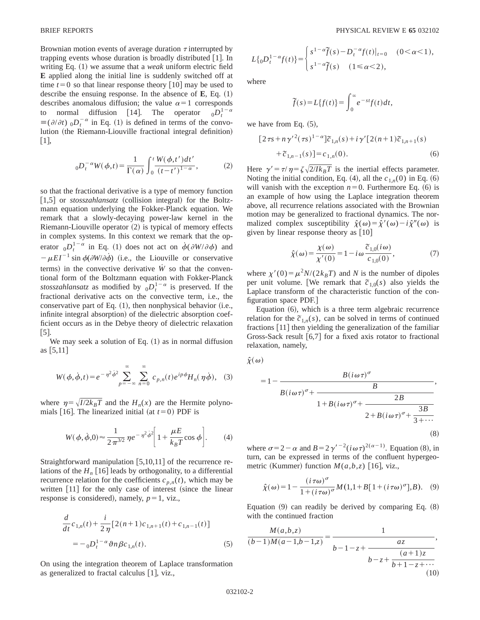Brownian motion events of average duration  $\tau$  interrupted by trapping events whose duration is broadly distributed  $\lceil 1 \rceil$ . In writing Eq.  $(1)$  we assume that a *weak* uniform electric field **E** applied along the initial line is suddenly switched off at time  $t=0$  so that linear response theory  $\lceil 10 \rceil$  may be used to describe the ensuing response. In the absence of  $\mathbf{E}$ , Eq.  $(1)$ describes anomalous diffusion; the value  $\alpha=1$  corresponds to normal diffusion [14]. The operator  $0D_t^{1-\alpha}$  $\equiv (\partial/\partial t)$  <sub>0</sub> $D_t^{-\alpha}$  in Eq. (1) is defined in terms of the convolution (the Riemann-Liouville fractional integral definition)  $|1|,$ 

$$
{}_{0}D_{t}^{-\alpha}W(\phi,t) = \frac{1}{\Gamma(\alpha)} \int_{0}^{t} \frac{W(\phi,t')dt'}{(t-t')^{1-\alpha}},
$$
 (2)

so that the fractional derivative is a type of memory function  $\left[1,5\right]$  or *stosszahlansatz* (collision integral) for the Boltzmann equation underlying the Fokker-Planck equation. We remark that a slowly-decaying power-law kernel in the Riemann-Liouville operator  $(2)$  is typical of memory effects in complex systems. In this context we remark that the operator  $_{0}D_{t}^{1-\alpha}$  in Eq. (1) does not act on  $\dot{\phi}(\partial W/\partial \phi)$  and  $-\mu EI^{-1} \sin \phi(\partial W/\partial \dot{\phi})$  (i.e., the Liouville or conservative terms) in the convective derivative  $\dot{W}$  so that the conventional form of the Boltzmann equation with Fokker-Planck *stosszahlansatz* as modified by  $_{0}D_{t}^{1-\alpha}$  is preserved. If the fractional derivative acts on the convective term, i.e., the conservative part of Eq.  $(1)$ , then nonphysical behavior  $(i.e.,$ infinite integral absorption) of the dielectric absorption coefficient occurs as in the Debye theory of dielectric relaxation  $|5|$ .

We may seek a solution of Eq.  $(1)$  as in normal diffusion as  $[5,11]$ 

$$
W(\phi, \dot{\phi}, t) = e^{-\eta^2 \dot{\phi}^2} \sum_{p=-\infty}^{\infty} \sum_{n=0}^{\infty} c_{p,n}(t) e^{ip\phi} H_n(\eta \dot{\phi}), \quad (3)
$$

where  $\eta = \sqrt{I/2k_BT}$  and the  $H_n(x)$  are the Hermite polynomials [16]. The linearized initial (at  $t=0$ ) PDF is

$$
W(\phi, \dot{\phi}, 0) \approx \frac{1}{2\pi^{3/2}} \eta e^{-\eta^2 \dot{\phi}^2} \left[ 1 + \frac{\mu E}{k_B T} \cos \phi \right].
$$
 (4)

Straightforward manipulation  $[5,10,11]$  of the recurrence relations of the  $H_n$  [16] leads by orthogonality, to a differential recurrence relation for the coefficients  $c_{p,n}(t)$ , which may be written  $[11]$  for the only case of interest (since the linear response is considered), namely,  $p=1$ , viz.,

$$
\frac{d}{dt}c_{1,n}(t) + \frac{i}{2\eta} [2(n+1)c_{1,n+1}(t) + c_{1,n-1}(t)]
$$
  
= 
$$
- {}_{0}D_{t}^{1-\alpha} \vartheta n \beta c_{1,n}(t).
$$
 (5)

On using the integration theorem of Laplace transformation as generalized to fractal calculus  $[1]$ , viz.,

$$
L\{ {}_{0}D_{t}^{1-\alpha}f(t)\} = \begin{cases} s^{1-\alpha}\tilde{f}(s) - D_{t}^{-\alpha}f(t)|_{t=0} & (0 < \alpha < 1), \\ s^{1-\alpha}\tilde{f}(s) & (1 \leq \alpha < 2), \end{cases}
$$

where

$$
\widetilde{f}(s) = L\{f(t)\} = \int_0^\infty e^{-st} f(t) dt,
$$

we have from Eq.  $(5)$ ,

$$
[2\tau s + n\gamma'^{2}(\tau s)^{1-\alpha}] \tilde{c}_{1,n}(s) + i\gamma' [2(n+1)\tilde{c}_{1,n+1}(s) + \tilde{c}_{1,n-1}(s)] = c_{1,n}(0).
$$
 (6)

Here  $\gamma' = \tau/\eta = \zeta \sqrt{2/Ik_BT}$  is the inertial effects parameter. Noting the initial condition, Eq. (4), all the  $c_{1n}(0)$  in Eq. (6) will vanish with the exception  $n=0$ . Furthermore Eq.  $(6)$  is an example of how using the Laplace integration theorem above, all recurrence relations associated with the Brownian motion may be generalized to fractional dynamics. The normalized complex susceptibility  $\hat{\chi}(\omega) = \hat{\chi}'(\omega) - i\hat{\chi}''(\omega)$  is given by linear response theory as  $[10]$ 

$$
\hat{\chi}(\omega) = \frac{\chi(\omega)}{\chi'(0)} = 1 - i\omega \frac{\tilde{c}_{1,0}(i\omega)}{c_{1,0}(0)},\tag{7}
$$

where  $\chi'(0) = \mu^2 N/(2k_BT)$  and *N* is the number of dipoles per unit volume. [We remark that  $\tilde{c}_{1,0}(s)$  also yields the Laplace transform of the characteristic function of the configuration space PDF.#

Equation  $(6)$ , which is a three term algebraic recurrence relation for the  $\tilde{c}_{1,n}(s)$ , can be solved in terms of continued fractions  $[11]$  then yielding the generalization of the familiar Gross-Sack result  $[6,7]$  for a fixed axis rotator to fractional relaxation, namely,

$$
\hat{\chi}(\omega)
$$

$$
= 1 - \frac{B(i\omega\tau)^{\sigma}}{B}
$$
  

$$
B(i\omega\tau)^{\sigma} + \frac{2B}{1 + B(i\omega\tau)^{\sigma} + \frac{2B}{2 + B(i\omega\tau)^{\sigma} + \frac{3B}{3 + \cdots}}}
$$
  
(8)

where  $\sigma = 2 - \alpha$  and  $B = 2\gamma^{r-2}(i\omega\tau)^{2(\alpha-1)}$ . Equation (8), in turn, can be expressed in terms of the confluent hypergeometric (Kummer) function  $M(a,b,z)$  [16], viz.,

$$
\hat{\chi}(\omega) = 1 - \frac{(i\,\tau\omega)^{\sigma}}{1 + (i\,\tau\omega)^{\sigma}} M(1, 1 + B[\,1 + (i\,\tau\omega)^{\sigma}], B). \tag{9}
$$

Equation  $(9)$  can readily be derived by comparing Eq.  $(8)$ with the continued fraction

$$
\frac{M(a,b,z)}{(b-1)M(a-1,b-1,z)} = \frac{1}{b-1-z+\frac{az}{b-z+\frac{(a+1)z}{b+1-z+\cdots}}},\tag{10}
$$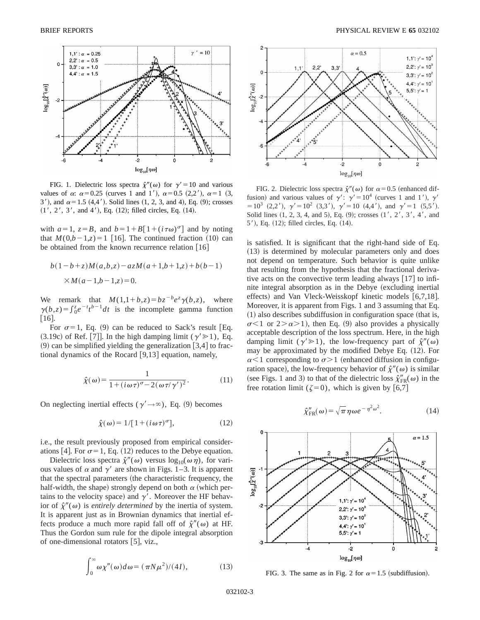

FIG. 1. Dielectric loss spectra  $\hat{\chi}''(\omega)$  for  $\gamma' = 10$  and various values of  $\alpha$ :  $\alpha$ =0.25 (curves 1 and 1'),  $\alpha$ =0.5 (2,2'),  $\alpha$ =1 (3, 3'), and  $\alpha = 1.5$  (4,4'). Solid lines (1, 2, 3, and 4), Eq. (9); crosses  $(1', 2', 3',$  and 4'), Eq.  $(12)$ ; filled circles, Eq.  $(14)$ .

with  $a=1$ ,  $z=B$ , and  $b=1+B[1+(i\tau\omega)^{\sigma}]$  and by noting that  $M(0,b-1,z)=1$  [16]. The continued fraction (10) can be obtained from the known recurrence relation  $[16]$ 

$$
b(1-b+z)M(a,b,z) - a z M(a+1,b+1,z) + b(b-1)
$$
  
× $M(a-1,b-1,z) = 0.$ 

We remark that  $M(1,1+b,z) = bz^{-b}e^{z}\gamma(b,z)$ , where  $\gamma(b,z) = \int_0^z e^{-t} t^{b-1} dt$  is the incomplete gamma function  $\lceil 16 \rceil$ .

For  $\sigma=1$ , Eq. (9) can be reduced to Sack's result [Eq.  $(3.19c)$  of Ref. [7]]. In the high damping limit ( $\gamma \ge 1$ ), Eq.  $(9)$  can be simplified yielding the generalization [3,4] to fractional dynamics of the Rocard  $|9,13|$  equation, namely,

$$
\hat{\chi}(\omega) = \frac{1}{1 + (i\omega\tau)^{\sigma} - 2(\omega\tau/\gamma')^2}.
$$
 (11)

On neglecting inertial effects ( $\gamma' \rightarrow \infty$ ), Eq. (9) becomes

$$
\hat{\chi}(\omega) = 1/[1 + (i\omega\tau)^{\sigma}], \qquad (12)
$$

i.e., the result previously proposed from empirical considerations [4]. For  $\sigma$  = 1, Eq. (12) reduces to the Debye equation.

Dielectric loss spectra  $\hat{\chi}''(\omega)$  versus  $\log_{10}(\omega \eta)$ , for various values of  $\alpha$  and  $\gamma'$  are shown in Figs. 1–3. It is apparent that the spectral parameters (the characteristic frequency, the half-width, the shape) strongly depend on both  $\alpha$  (which pertains to the velocity space) and  $\gamma'$ . Moreover the HF behavior of  $\hat{\chi}^{\prime\prime}(\omega)$  is *entirely determined* by the inertia of system. It is apparent just as in Brownian dynamics that inertial effects produce a much more rapid fall off of  $\hat{\chi}''(\omega)$  at HF. Thus the Gordon sum rule for the dipole integral absorption of one-dimensional rotators  $[5]$ , viz.,

$$
\int_0^\infty \omega \chi''(\omega) d\omega = (\pi N \mu^2)/(4I),\tag{13}
$$



FIG. 2. Dielectric loss spectra  $\hat{\chi}''(\omega)$  for  $\alpha=0.5$  (enhanced diffusion) and various values of  $\gamma'$ :  $\gamma' = 10^4$  (curves 1 and 1'),  $\gamma'$  $=10^3$  (2,2'),  $\gamma' = 10^2$  (3,3'),  $\gamma' = 10$  (4,4'), and  $\gamma' = 1$  (5,5'). Solid lines  $(1, 2, 3, 4, \text{ and } 5)$ , Eq.  $(9)$ ; crosses  $(1', 2', 3', 4', \text{ and } 5)$  $5'$ ), Eq.  $(12)$ ; filled circles, Eq.  $(14)$ .

is satisfied. It is significant that the right-hand side of Eq.  $(13)$  is determined by molecular parameters only and does not depend on temperature. Such behavior is quite unlike that resulting from the hypothesis that the fractional derivative acts on the convective term leading always  $[17]$  to infinite integral absorption as in the Debye (excluding inertial effects) and Van Vleck-Weisskopf kinetic models  $[6,7,18]$ . Moreover, it is apparent from Figs. 1 and 3 assuming that Eq.  $(1)$  also describes subdiffusion in configuration space (that is,  $\sigma$ <1 or 2> $\alpha$ >1), then Eq. (9) also provides a physically acceptable description of the loss spectrum. Here, in the high damping limit ( $\gamma$ <sup>'</sup> $\gg$ 1), the low-frequency part of  $\hat{\chi}^{\prime\prime}(\omega)$ may be approximated by the modified Debye Eq.  $(12)$ . For  $\alpha$ <1 corresponding to  $\sigma$ >1 (enhanced diffusion in configuration space), the low-frequency behavior of  $\hat{\chi}^{\prime\prime}(\omega)$  is similar (see Figs. 1 and 3) to that of the dielectric loss  $\hat{\chi}_{FR}^{"}(\omega)$  in the free rotation limit ( $\zeta=0$ ), which is given by [6,7]

$$
\hat{\chi}_{\text{FR}}''(\omega) = \sqrt{\pi} \,\eta \omega e^{-\eta^2 \omega^2}.\tag{14}
$$



FIG. 3. The same as in Fig. 2 for  $\alpha=1.5$  (subdiffusion).